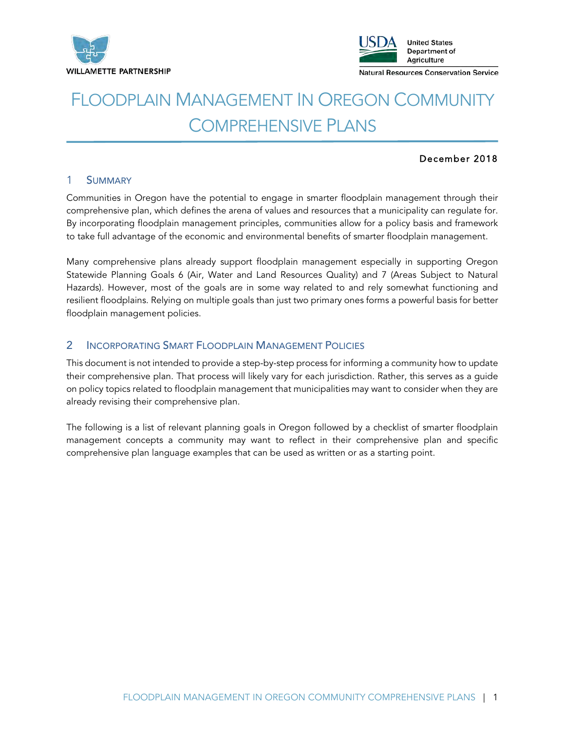



# FLOODPLAIN MANAGEMENT IN OREGON COMMUNITY COMPREHENSIVE PLANS

### December 2018

### 1 SUMMARY

Communities in Oregon have the potential to engage in smarter floodplain management through their comprehensive plan, which defines the arena of values and resources that a municipality can regulate for. By incorporating floodplain management principles, communities allow for a policy basis and framework to take full advantage of the economic and environmental benefits of smarter floodplain management.

Many comprehensive plans already support floodplain management especially in supporting Oregon Statewide Planning Goals 6 (Air, Water and Land Resources Quality) and 7 (Areas Subject to Natural Hazards). However, most of the goals are in some way related to and rely somewhat functioning and resilient floodplains. Relying on multiple goals than just two primary ones forms a powerful basis for better floodplain management policies.

## 2 INCORPORATING SMART FLOODPLAIN MANAGEMENT POLICIES

This document is not intended to provide a step-by-step process for informing a community how to update their comprehensive plan. That process will likely vary for each jurisdiction. Rather, this serves as a guide on policy topics related to floodplain management that municipalities may want to consider when they are already revising their comprehensive plan.

The following is a list of relevant planning goals in Oregon followed by a checklist of smarter floodplain management concepts a community may want to reflect in their comprehensive plan and specific comprehensive plan language examples that can be used as written or as a starting point.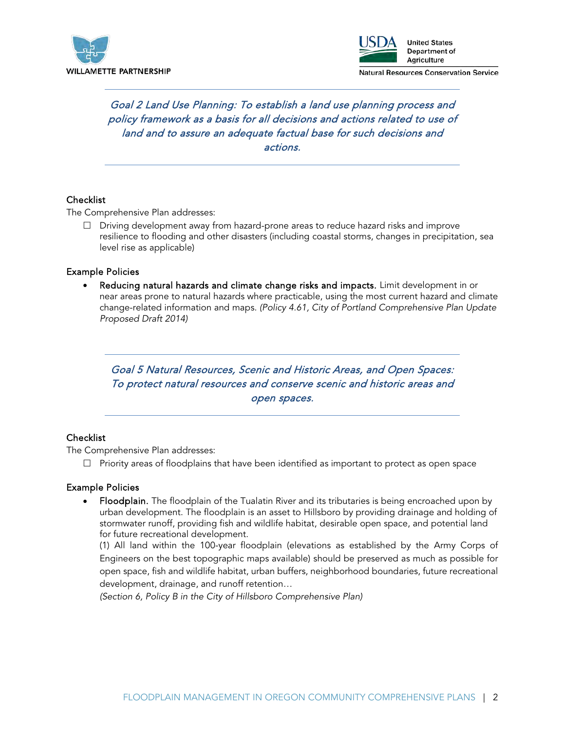



# Goal 2 Land Use Planning: To establish a land use planning process and policy framework as a basis for all decisions and actions related to use of land and to assure an adequate factual base for such decisions and actions.

### **Checklist**

The Comprehensive Plan addresses:

 $\Box$  Driving development away from hazard-prone areas to reduce hazard risks and improve resilience to flooding and other disasters (including coastal storms, changes in precipitation, sea level rise as applicable)

### Example Policies

Reducing natural hazards and climate change risks and impacts. Limit development in or near areas prone to natural hazards where practicable, using the most current hazard and climate change‐related information and maps. *(Policy 4.61, City of Portland Comprehensive Plan Update Proposed Draft 2014)*

Goal 5 Natural Resources, Scenic and Historic Areas, and Open Spaces: To protect natural resources and conserve scenic and historic areas and open spaces.

### **Checklist**

The Comprehensive Plan addresses:

 $\Box$  Priority areas of floodplains that have been identified as important to protect as open space

#### Example Policies

• Floodplain. The floodplain of the Tualatin River and its tributaries is being encroached upon by urban development. The floodplain is an asset to Hillsboro by providing drainage and holding of stormwater runoff, providing fish and wildlife habitat, desirable open space, and potential land for future recreational development.

(1) All land within the 100-year floodplain (elevations as established by the Army Corps of Engineers on the best topographic maps available) should be preserved as much as possible for open space, fish and wildlife habitat, urban buffers, neighborhood boundaries, future recreational development, drainage, and runoff retention…

*(Section 6, Policy B in the City of Hillsboro Comprehensive Plan)*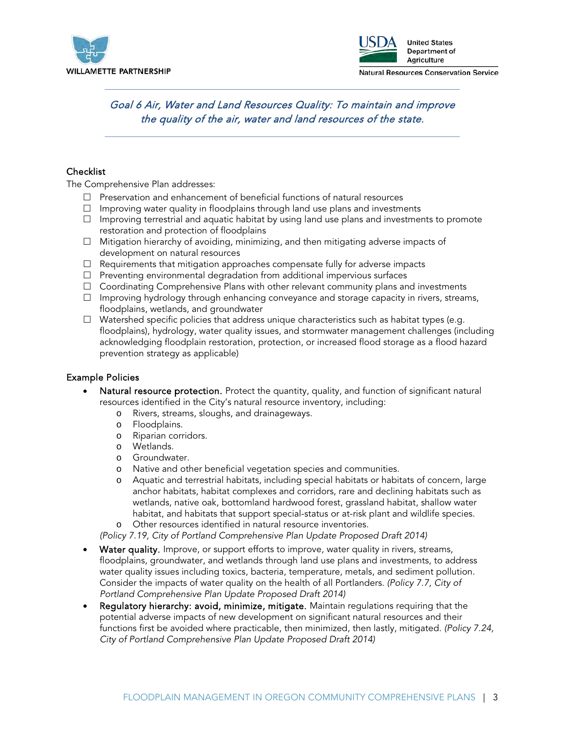



# Goal 6 Air, Water and Land Resources Quality: To maintain and improve the quality of the air, water and land resources of the state.

### **Checklist**

The Comprehensive Plan addresses:

- $\Box$  Preservation and enhancement of beneficial functions of natural resources
- $\Box$  Improving water quality in floodplains through land use plans and investments
- $\Box$  Improving terrestrial and aquatic habitat by using land use plans and investments to promote restoration and protection of floodplains
- $\Box$  Mitigation hierarchy of avoiding, minimizing, and then mitigating adverse impacts of development on natural resources
- $\Box$  Requirements that mitigation approaches compensate fully for adverse impacts
- $\Box$  Preventing environmental degradation from additional impervious surfaces
- □ Coordinating Comprehensive Plans with other relevant community plans and investments
- $\Box$  Improving hydrology through enhancing conveyance and storage capacity in rivers, streams, floodplains, wetlands, and groundwater
- $\Box$  Watershed specific policies that address unique characteristics such as habitat types (e.g. floodplains), hydrology, water quality issues, and stormwater management challenges (including acknowledging floodplain restoration, protection, or increased flood storage as a flood hazard prevention strategy as applicable)

### Example Policies

- Natural resource protection. Protect the quantity, quality, and function of significant natural resources identified in the City's natural resource inventory, including:
	- o Rivers, streams, sloughs, and drainageways.
	- o Floodplains.
	- o Riparian corridors.
	- o Wetlands.
	- o Groundwater.
	- o Native and other beneficial vegetation species and communities.
	- o Aquatic and terrestrial habitats, including special habitats or habitats of concern, large anchor habitats, habitat complexes and corridors, rare and declining habitats such as wetlands, native oak, bottomland hardwood forest, grassland habitat, shallow water habitat, and habitats that support special-status or at-risk plant and wildlife species.
	- o Other resources identified in natural resource inventories.

*(Policy 7.19, City of Portland Comprehensive Plan Update Proposed Draft 2014)*

- Water quality. Improve, or support efforts to improve, water quality in rivers, streams, floodplains, groundwater, and wetlands through land use plans and investments, to address water quality issues including toxics, bacteria, temperature, metals, and sediment pollution. Consider the impacts of water quality on the health of all Portlanders. *(Policy 7.7, City of Portland Comprehensive Plan Update Proposed Draft 2014)*
- Requlatory hierarchy: avoid, minimize, mitigate. Maintain requidions requiring that the potential adverse impacts of new development on significant natural resources and their functions first be avoided where practicable, then minimized, then lastly, mitigated. *(Policy 7.24, City of Portland Comprehensive Plan Update Proposed Draft 2014)*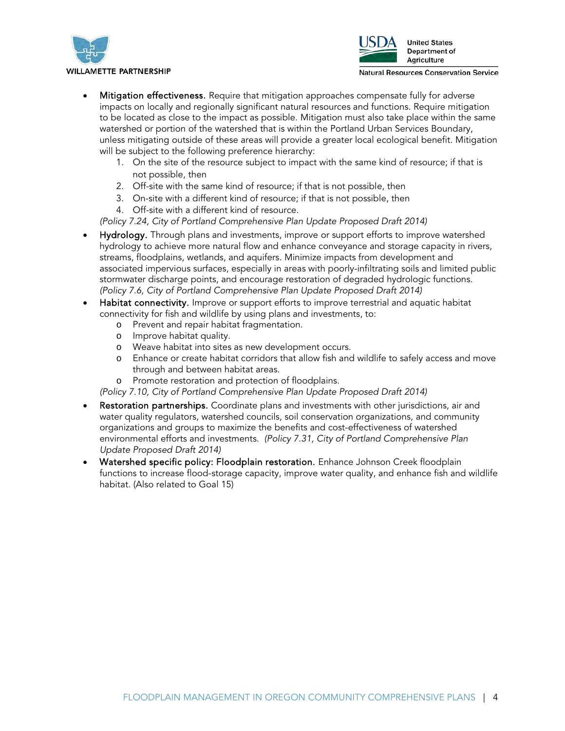



- Mitigation effectiveness. Require that mitigation approaches compensate fully for adverse impacts on locally and regionally significant natural resources and functions. Require mitigation to be located as close to the impact as possible. Mitigation must also take place within the same watershed or portion of the watershed that is within the Portland Urban Services Boundary, unless mitigating outside of these areas will provide a greater local ecological benefit. Mitigation will be subject to the following preference hierarchy:
	- 1. On the site of the resource subject to impact with the same kind of resource; if that is not possible, then
	- 2. Off-site with the same kind of resource; if that is not possible, then
	- 3. On-site with a different kind of resource; if that is not possible, then
	- 4. Off‐site with a different kind of resource.

*(Policy 7.24, City of Portland Comprehensive Plan Update Proposed Draft 2014)*

- Hydrology. Through plans and investments, improve or support efforts to improve watershed hydrology to achieve more natural flow and enhance conveyance and storage capacity in rivers, streams, floodplains, wetlands, and aquifers. Minimize impacts from development and associated impervious surfaces, especially in areas with poorly‐infiltrating soils and limited public stormwater discharge points, and encourage restoration of degraded hydrologic functions. *(Policy 7.6, City of Portland Comprehensive Plan Update Proposed Draft 2014)*
- Habitat connectivity. Improve or support efforts to improve terrestrial and aquatic habitat connectivity for fish and wildlife by using plans and investments, to:
	- o Prevent and repair habitat fragmentation.
	- o Improve habitat quality.
	- o Weave habitat into sites as new development occurs.
	- o Enhance or create habitat corridors that allow fish and wildlife to safely access and move through and between habitat areas.
	- o Promote restoration and protection of floodplains.
	- *(Policy 7.10, City of Portland Comprehensive Plan Update Proposed Draft 2014)*
- Restoration partnerships. Coordinate plans and investments with other jurisdictions, air and water quality regulators, watershed councils, soil conservation organizations, and community organizations and groups to maximize the benefits and cost-effectiveness of watershed environmental efforts and investments. *(Policy 7.31, City of Portland Comprehensive Plan Update Proposed Draft 2014)*
- Watershed specific policy: Floodplain restoration. Enhance Johnson Creek floodplain functions to increase flood‐storage capacity, improve water quality, and enhance fish and wildlife habitat. (Also related to Goal 15)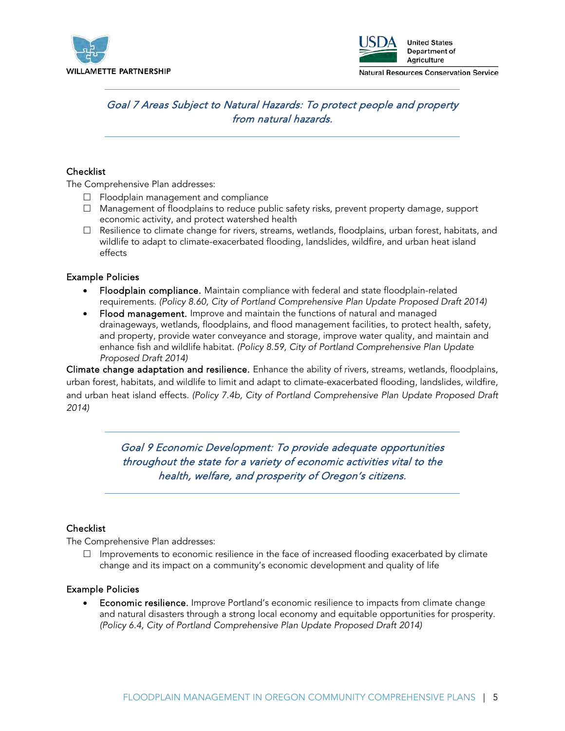



# Goal 7 Areas Subject to Natural Hazards: To protect people and property from natural hazards.

### Checklist

The Comprehensive Plan addresses:

- $\Box$  Floodplain management and compliance
- $\Box$  Management of floodplains to reduce public safety risks, prevent property damage, support economic activity, and protect watershed health
- $\Box$  Resilience to climate change for rivers, streams, wetlands, floodplains, urban forest, habitats, and wildlife to adapt to climate-exacerbated flooding, landslides, wildfire, and urban heat island effects

### Example Policies

- Floodplain compliance. Maintain compliance with federal and state floodplain-related requirements. *(Policy 8.60, City of Portland Comprehensive Plan Update Proposed Draft 2014)*
- Flood management. Improve and maintain the functions of natural and managed drainageways, wetlands, floodplains, and flood management facilities, to protect health, safety, and property, provide water conveyance and storage, improve water quality, and maintain and enhance fish and wildlife habitat. *(Policy 8.59, City of Portland Comprehensive Plan Update Proposed Draft 2014)*

Climate change adaptation and resilience. Enhance the ability of rivers, streams, wetlands, floodplains, urban forest, habitats, and wildlife to limit and adapt to climate‐exacerbated flooding, landslides, wildfire, and urban heat island effects. *(Policy 7.4b, City of Portland Comprehensive Plan Update Proposed Draft 2014)*

> Goal 9 Economic Development: To provide adequate opportunities throughout the state for a variety of economic activities vital to the health, welfare, and prosperity of Oregon's citizens.

### **Checklist**

The Comprehensive Plan addresses:

 $\Box$  Improvements to economic resilience in the face of increased flooding exacerbated by climate change and its impact on a community's economic development and quality of life

### Example Policies

**Economic resilience.** Improve Portland's economic resilience to impacts from climate change and natural disasters through a strong local economy and equitable opportunities for prosperity. *(Policy 6.4, City of Portland Comprehensive Plan Update Proposed Draft 2014)*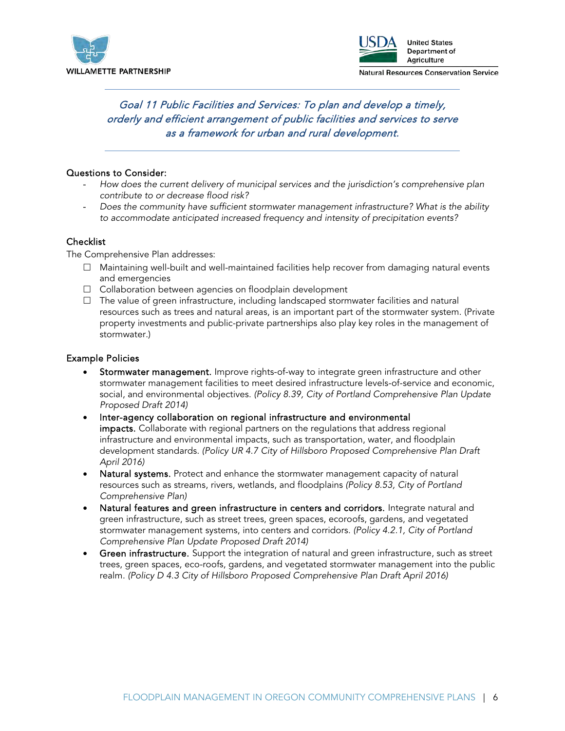



# Goal 11 Public Facilities and Services: To plan and develop a timely, orderly and efficient arrangement of public facilities and services to serve as a framework for urban and rural development.

### Questions to Consider:

- *How does the current delivery of municipal services and the jurisdiction's comprehensive plan contribute to or decrease flood risk?*
- *Does the community have sufficient stormwater management infrastructure? What is the ability to accommodate anticipated increased frequency and intensity of precipitation events?*

### **Checklist**

The Comprehensive Plan addresses:

- Maintaining well-built and well-maintained facilities help recover from damaging natural events and emergencies
- □ Collaboration between agencies on floodplain development
- $\Box$  The value of green infrastructure, including landscaped stormwater facilities and natural resources such as trees and natural areas, is an important part of the stormwater system. (Private property investments and public‐private partnerships also play key roles in the management of stormwater.)

### Example Policies

- Stormwater management. Improve rights-of-way to integrate green infrastructure and other stormwater management facilities to meet desired infrastructure levels‐of‐service and economic, social, and environmental objectives. *(Policy 8.39, City of Portland Comprehensive Plan Update Proposed Draft 2014)*
- Inter-agency collaboration on regional infrastructure and environmental impacts. Collaborate with regional partners on the regulations that address regional infrastructure and environmental impacts, such as transportation, water, and floodplain development standards. *(Policy UR 4.7 City of Hillsboro Proposed Comprehensive Plan Draft April 2016)*
- Natural systems. Protect and enhance the stormwater management capacity of natural resources such as streams, rivers, wetlands, and floodplains *(Policy 8.53, City of Portland Comprehensive Plan)*
- Natural features and green infrastructure in centers and corridors. Integrate natural and green infrastructure, such as street trees, green spaces, ecoroofs, gardens, and vegetated stormwater management systems, into centers and corridors. *(Policy 4.2.1, City of Portland Comprehensive Plan Update Proposed Draft 2014)*
- Green infrastructure. Support the integration of natural and green infrastructure, such as street trees, green spaces, eco-roofs, gardens, and vegetated stormwater management into the public realm. *(Policy D 4.3 City of Hillsboro Proposed Comprehensive Plan Draft April 2016)*